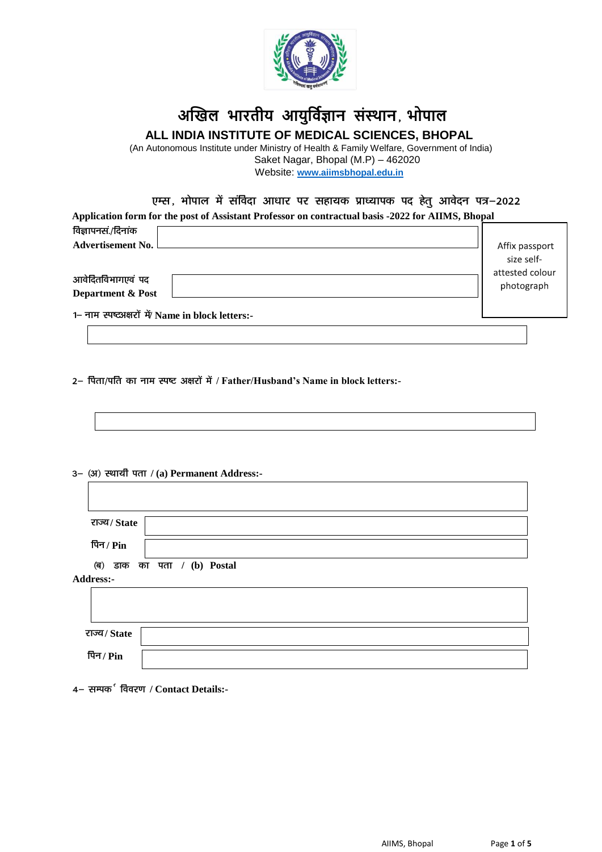

## **अखिल भारतीय आयुर्विज्ञान संस्थान**] **भोपाल ALL INDIA INSTITUTE OF MEDICAL SCIENCES, BHOPAL**

 (An Autonomous Institute under Ministry of Health & Family Welfare, Government of India) Saket Nagar, Bhopal (M.P) – 462020 Website: **[www.aiimsbhopal.edu.in](http://www.aiimsbhopal.edu.in/)**

| एम्स, भोपाल में संविदा आधार पर सहायक प्राध्यापक पद हेत् आवेदन पत्र–2022<br>Application form for the post of Assistant Professor on contractual basis -2022 for AIIMS, Bhopal |                 |
|------------------------------------------------------------------------------------------------------------------------------------------------------------------------------|-----------------|
| विज्ञापनसं./दिनांक                                                                                                                                                           | Affix passport  |
| <b>Advertisement No.</b>                                                                                                                                                     | size self-      |
| आवेदितविभागएवं पद                                                                                                                                                            | attested colour |
| <b>Department &amp; Post</b>                                                                                                                                                 | photograph      |
| 1– नाम स्पष्टअक्षरों में/ Name in block letters:-                                                                                                                            |                 |

2- पिता/पति का नाम स्पष्ट अक्षरों में / Father/Husband's Name in block letters:-

3- (अ) स्थायी पता / (a) Permanent Address:-

| राज्य/State |                             |
|-------------|-----------------------------|
| पिन / Pin   |                             |
|             | (ब) डाक का पता / (b) Postal |
| Address:-   |                             |
|             |                             |
|             |                             |
| राज्य/State |                             |
| पिन / $Pin$ |                             |

4 – सम्पक<sup>5</sup> विवरण / Contact Details:-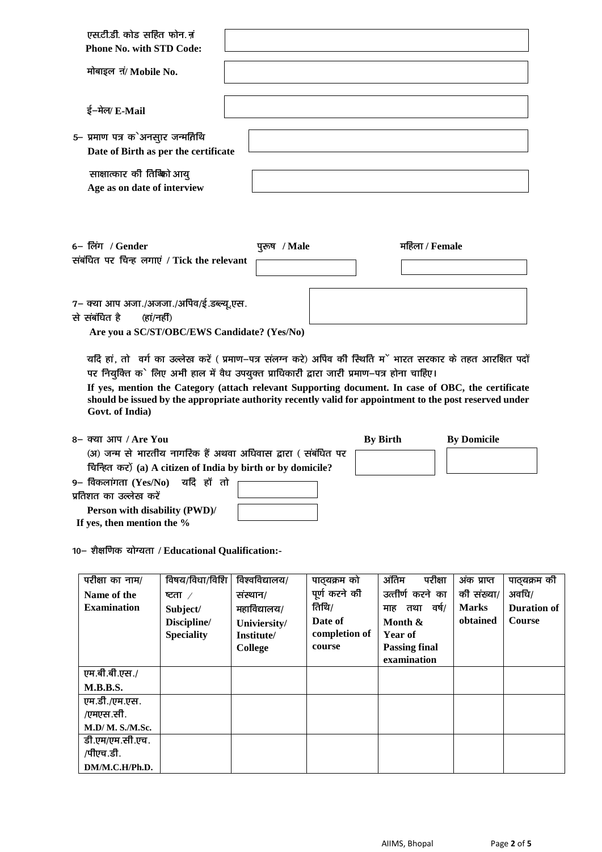| एस.टी.डी. कोड सहित फोन. नं<br><b>Phone No. with STD Code:</b><br>मोबाइल नं/ Mobile No.                                                                                                                                                                  |              |                 |                    |
|---------------------------------------------------------------------------------------------------------------------------------------------------------------------------------------------------------------------------------------------------------|--------------|-----------------|--------------------|
| ई-मेल/ E-Mail                                                                                                                                                                                                                                           |              |                 |                    |
| 5- प्रमाण पत्र क`अनसार जन्मतिथि<br>Date of Birth as per the certificate                                                                                                                                                                                 |              |                 |                    |
| साक्षात्कार की तिष्क्रो आय्<br>Age as on date of interview                                                                                                                                                                                              |              |                 |                    |
| 6– लिंग / Gender<br>संबंधित पर चिन्ह लगाएं / Tick the relevant                                                                                                                                                                                          | पुरुष / Male | महिला / Female  |                    |
| 7– क्या आप अजा./अजजा./अपिव/ई.डब्ल्यू.एस.<br>से संबंधित है<br>(हां/नहीं)                                                                                                                                                                                 |              |                 |                    |
| Are you a SC/ST/OBC/EWS Candidate? (Yes/No)<br>यदि हां, तो वर्ग का उल्लेख करें ( प्रमाण–पत्र संलग्न करे) अपिव की स्थिति मूं भारत सरकार के तहत आरक्षित पदों<br>पर नियुक्ति के लिए अभी हाल में वैध उपयुक्त प्राधिकारी द्वारा जारी प्रमाण-पत्र होना चाहिए। |              |                 |                    |
| If yes, mention the Category (attach relevant Supporting document. In case of OBC, the certificate<br>should be issued by the appropriate authority recently valid for appointment to the post reserved under<br>Govt. of India)                        |              |                 |                    |
| 8– क्या आप / Are You                                                                                                                                                                                                                                    |              | <b>By Birth</b> | <b>By Domicile</b> |
| (अ) जन्म से भारतीय नागरिक हैं अथवा अधिवास द्वारा ( संबंधित पर                                                                                                                                                                                           |              |                 |                    |
| चिन्हित कर) (a) A citizen of India by birth or by domicile?                                                                                                                                                                                             |              |                 |                    |
| 9– विकलांगता (Yes/No)<br>यदि हाँ तो<br>प्रतिशत का उल्लेख करें                                                                                                                                                                                           |              |                 |                    |
| Person with disability (PWD)/                                                                                                                                                                                                                           |              |                 |                    |
|                                                                                                                                                                                                                                                         |              |                 |                    |

10- शैक्षणिक योग्यता / Educational Qualification:-

**If yes, then mention the %**

| परीक्षा का नाम/    | विषय/विधा/विशि    | विश्वविद्यालय/ | पाठयक्रम को   | ऑतिम<br>परीक्षा      | अंक प्राप्त  | पाठ्यक्रम की       |
|--------------------|-------------------|----------------|---------------|----------------------|--------------|--------------------|
| Name of the        | ष्टता $\angle$    | संस्थान/       | पूर्ण करने की | उत्तीर्ण करने का     | की संख्या/   | अवधि/              |
| <b>Examination</b> | Subject/          | महाविद्यालय/   | तिथि/         | तथा वर्ष/<br>माह     | <b>Marks</b> | <b>Duration of</b> |
|                    | Discipline/       | Univiersity/   | Date of       | Month &              | obtained     | <b>Course</b>      |
|                    | <b>Speciality</b> | Institute/     | completion of | Year of              |              |                    |
|                    |                   | <b>College</b> | course        | <b>Passing final</b> |              |                    |
|                    |                   |                |               | examination          |              |                    |
| एम.बी.बी.एस./      |                   |                |               |                      |              |                    |
| <b>M.B.B.S.</b>    |                   |                |               |                      |              |                    |
| एम.डी./एम.एस.      |                   |                |               |                      |              |                    |
| /एमएस.सी.          |                   |                |               |                      |              |                    |
| M.D/M. S./M.Sc.    |                   |                |               |                      |              |                    |
| डी.एम/एम.सी.एच.    |                   |                |               |                      |              |                    |
| /पीएच.डी.          |                   |                |               |                      |              |                    |
| DM/M.C.H/Ph.D.     |                   |                |               |                      |              |                    |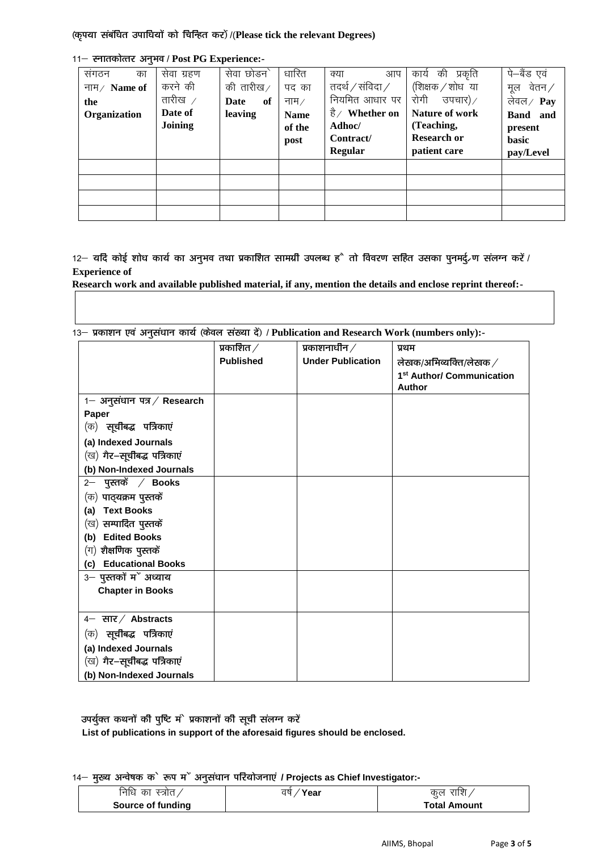(कृपया संबंधित उपाधियों को चिन्हित कर) /(Please tick the relevant Degrees)

| संगठन<br>का  | सेवा ग्रहण     | सेवा छोडन`        | धारित              | आप<br>क्या                   | की<br>प्रकृति<br>कार्य  | पे–बैंड एवं       |
|--------------|----------------|-------------------|--------------------|------------------------------|-------------------------|-------------------|
| नाम/ Name of | करने की        | की तारीख $\angle$ | पद का              | तदर्थ $\,/\,$ संविदा $\,/\,$ | (शिक्षक / शोध)या        | वेतन ∕<br>मल      |
| the          | तारीख $\angle$ | <b>Date</b><br>of | नाम $\overline{A}$ | नियमित आधार पर               | रोगी<br>उपचार) $\angle$ | लेवल $\angle$ Pay |
| Organization | Date of        | leaving           | <b>Name</b>        | है/ Whether on               | Nature of work          | Band and          |
|              | Joining        |                   | of the             | Adhoc/                       | (Teaching,              | present           |
|              |                |                   | post               | Contract/                    | <b>Research or</b>      | <b>basic</b>      |
|              |                |                   |                    | Regular                      | patient care            | pay/Level         |
|              |                |                   |                    |                              |                         |                   |
|              |                |                   |                    |                              |                         |                   |
|              |                |                   |                    |                              |                         |                   |
|              |                |                   |                    |                              |                         |                   |

11- स्नातकोत्तर अनुभव / Post PG Experience:-

 $12-$  यदि कोई शोध कार्य का अनुभव तथा प्रकाशित सामग्री उपलब्ध है तो विवरण सहित उसका पुनमर्द, ण संलग्न करें / **Experience of** 

Research work and available published material, if any, mention the details and enclose reprint thereof:-

13- प्रकाशन एवं अनुसंधान कार्य (केवल संख्या दें) / Publication and Research Work (numbers only):-

|                                | प्रकाशित $\angle$ | प्रकाशनाधीन $\hspace{0.1em}/\hspace{0.1em}$ | प्रथम                                                                |
|--------------------------------|-------------------|---------------------------------------------|----------------------------------------------------------------------|
|                                | <b>Published</b>  | <b>Under Publication</b>                    | लेखक/अभिव्यक्ति/लेखक $\hspace{.1cm}\rule{1.5pt}{1.5mm}\hspace{.1cm}$ |
|                                |                   |                                             | 1 <sup>st</sup> Author/ Communication                                |
|                                |                   |                                             | <b>Author</b>                                                        |
| 1– अनुसंधान पत्र / Research    |                   |                                             |                                                                      |
| Paper                          |                   |                                             |                                                                      |
| (क) <b>सूचीबद्ध पत्रिकाएं</b>  |                   |                                             |                                                                      |
| (a) Indexed Journals           |                   |                                             |                                                                      |
| (ख) गैर–सूचीबद्ध पत्रिकाएं     |                   |                                             |                                                                      |
| (b) Non-Indexed Journals       |                   |                                             |                                                                      |
| 2– पुस्तकें $\angle$ Books     |                   |                                             |                                                                      |
| (क) पाठ् <b>यक्रम पुस्तकें</b> |                   |                                             |                                                                      |
| <b>Text Books</b><br>(a)       |                   |                                             |                                                                      |
| (ख) <b>सम्पादित पुस्तकें</b>   |                   |                                             |                                                                      |
| (b) Edited Books               |                   |                                             |                                                                      |
| $($ ग) शैक्षणिक पुस्तकें       |                   |                                             |                                                                      |
| (c) Educational Books          |                   |                                             |                                                                      |
| 3- पुस्तकों में अध्याय         |                   |                                             |                                                                      |
| <b>Chapter in Books</b>        |                   |                                             |                                                                      |
|                                |                   |                                             |                                                                      |
| $4-$ सार / Abstracts           |                   |                                             |                                                                      |
| (क) <b>सूचीबद्ध पत्रिकाएं</b>  |                   |                                             |                                                                      |
| (a) Indexed Journals           |                   |                                             |                                                                      |
| (ख) गैर–सूचीबद्ध पत्रिकाएं     |                   |                                             |                                                                      |
| (b) Non-Indexed Journals       |                   |                                             |                                                                      |

उपर्युक्त कथनों की पुष्टि मं` प्रकाशनों की सूची संलग्न करें

List of publications in support of the aforesaid figures should be enclosed.

14– मुख्य अन्वेषक के रूप म<sup>ें</sup> अनुसंघान परियोजनाएं / Projects as Chief Investigator:-

| निधि का           | वर्षे | राशि ,              |
|-------------------|-------|---------------------|
| ` स्त्रोत ,       | Year  | कल                  |
| Source of funding |       | <b>Total Amount</b> |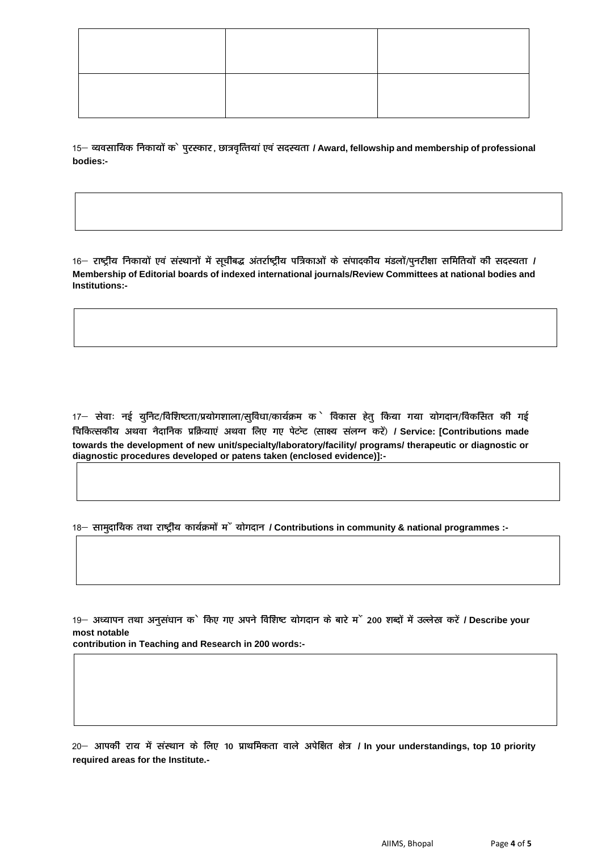15 - व्यवसायिक निकायों के पुरस्कार, छात्रवृत्तियां एवं सदस्यता / Award, fellowship and membership of professional bodies:-

16– राष्ट्रीय निकायों एवं संस्थानों में सूचीबद्ध अंतर्राष्ट्रीय पत्रिकाओं के संपादकीय मंडलों/पुनरीक्षा समितियों की सदस्यता / Membership of Editorial boards of indexed international journals/Review Committees at national bodies and Institutions:-

17– सेवाः नई युनिट/विशिष्टता/प्रयोगशाला/सुविधा/कार्यक्रम के विकास हेत् किया गया योगदान/विकसित की गई चिकित्सकीय अथवा नैदानिक प्रक्रियाएं अथवा लिए गए पेटन्ट (साक्ष्य संलग्न करें) / Service: [Contributions made towards the development of new unit/specialty/laboratory/facility/ programs/ therapeutic or diagnostic or diagnostic procedures developed or patens taken (enclosed evidence)]:-

18 – सामदायिक तथा राष्ट्रीय कार्यक्रमों में योगदान / Contributions in community & national programmes :-

19– अध्यापन तथा अनुसंधान क` किए गए अपने विशिष्ट योगदान के बारे म` 200 शब्दों में उल्लेख करें / Describe your most notable

contribution in Teaching and Research in 200 words:-

20– आपकी राय में संस्थान के लिए 10 प्राथमिकता वाले अपेक्षित क्षेत्र / In your understandings, top 10 priority required areas for the Institute.-